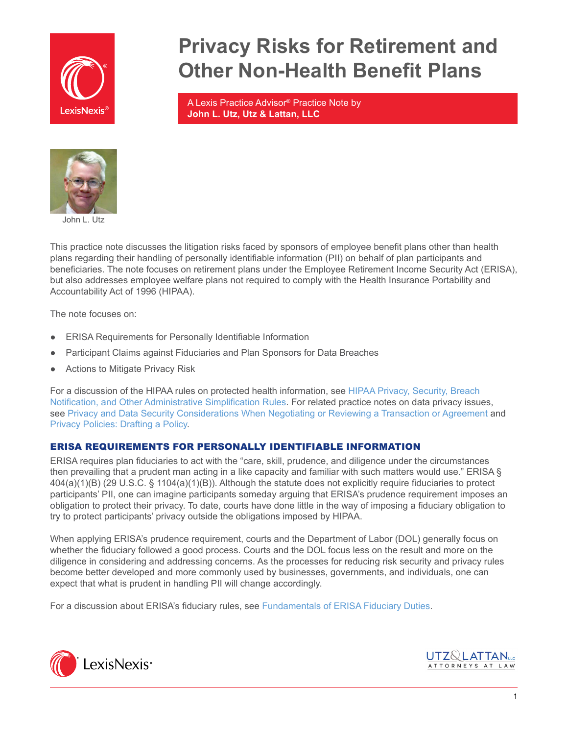

# **Privacy Risks for Retirement and Other Non-Health Benefit Plans**

A Lexis Practice Advisor® Practice Note by **John L. Utz, Utz & Lattan, LLC**



John L. Utz

This practice note discusses the litigation risks faced by sponsors of employee benefit plans other than health plans regarding their handling of personally identifiable information (PII) on behalf of plan participants and beneficiaries. The note focuses on retirement plans under the Employee Retirement Income Security Act (ERISA), but also addresses employee welfare plans not required to comply with the Health Insurance Portability and Accountability Act of 1996 (HIPAA).

The note focuses on:

- ERISA Requirements for Personally Identifiable Information
- Participant Claims against Fiduciaries and Plan Sponsors for Data Breaches
- Actions to Mitigate Privacy Risk

For a discussion of the HIPAA rules on protected health information, see [HIPAA Privacy, Security, Breach](https://advance.lexis.com/open/document/lpadocument/?pdmfid=1000522&crid=d12b79ec-1fdb-414c-96aa-63dbd9979efd&pddocfullpath=%2Fshared%2Fdocument%2Fanalytical-materials%2Furn%3AcontentItem%3A5PC6-JBC1-JW09-M1DK-00000-00&pddocid=urn%3AcontentItem%3A5PC6-JBC1-JW09-M1DK-00000-00&pdcontentcomponentid=231516&pdteaserkey=sr0&pditab=allpods&ecomp=-vtg&earg=sr0&prid=130468d9-05c7-434e-adfe-b39718272f0d)  [Notification, and Other Administrative Simplification Rules.](https://advance.lexis.com/open/document/lpadocument/?pdmfid=1000522&crid=d12b79ec-1fdb-414c-96aa-63dbd9979efd&pddocfullpath=%2Fshared%2Fdocument%2Fanalytical-materials%2Furn%3AcontentItem%3A5PC6-JBC1-JW09-M1DK-00000-00&pddocid=urn%3AcontentItem%3A5PC6-JBC1-JW09-M1DK-00000-00&pdcontentcomponentid=231516&pdteaserkey=sr0&pditab=allpods&ecomp=-vtg&earg=sr0&prid=130468d9-05c7-434e-adfe-b39718272f0d) For related practice notes on data privacy issues, see [Privacy and Data Security Considerations When Negotiating or Reviewing a Transaction or Agreement](https://advance.lexis.com/open/document/lpadocument/?pdmfid=1000522&crid=01dbc3d8-a00d-4db3-9f8c-36e8d6a273c0&pddocfullpath=%2Fshared%2Fdocument%2Fanalytical-materials%2Furn%3AcontentItem%3A5JG5-1CW1-FBV7-B3FP-00000-00&pddocid=urn%3AcontentItem%3A5JG5-1CW1-FBV7-B3FP-00000-00&pdcontentcomponentid=126220&pdteaserkey=sr0&pditab=allpods&ecomp=-vtg&earg=sr0&prid=ec07012b-154b-4ccf-a2d6-4fcf2e355683) and [Privacy Policies: Drafting a Policy.](https://advance.lexis.com/open/document/lpadocument/?pdmfid=1000522&crid=9478aeb1-1c61-4a41-b710-0d061d11071e&pddocfullpath=%2Fshared%2Fdocument%2Fanalytical-materials%2Furn%3AcontentItem%3A5JG5-1CW1-FBV7-B3FR-00000-00&pddocid=urn%3AcontentItem%3A5JG5-1CW1-FBV7-B3FR-00000-00&pdcontentcomponentid=126220&pdteaserkey=sr0&pditab=allpods&ecomp=-vtg&earg=sr0&prid=64d64b70-17e0-4a2f-a5fb-fe3efb1208e6)

# ERISA REQUIREMENTS FOR PERSONALLY IDENTIFIABLE INFORMATION

ERISA requires plan fiduciaries to act with the "care, skill, prudence, and diligence under the circumstances then prevailing that a prudent man acting in a like capacity and familiar with such matters would use." ERISA § 404(a)(1)(B) (29 U.S.C. § 1104(a)(1)(B)). Although the statute does not explicitly require fiduciaries to protect participants' PII, one can imagine participants someday arguing that ERISA's prudence requirement imposes an obligation to protect their privacy. To date, courts have done little in the way of imposing a fiduciary obligation to try to protect participants' privacy outside the obligations imposed by HIPAA.

When applying ERISA's prudence requirement, courts and the Department of Labor (DOL) generally focus on whether the fiduciary followed a good process. Courts and the DOL focus less on the result and more on the diligence in considering and addressing concerns. As the processes for reducing risk security and privacy rules become better developed and more commonly used by businesses, governments, and individuals, one can expect that what is prudent in handling PII will change accordingly.

For a discussion about ERISA's fiduciary rules, see [Fundamentals of ERISA Fiduciary Duties.](https://advance.lexis.com/open/document/lpadocument/?pdmfid=1000522&crid=3b95db71-0f20-4276-aadb-ad691a3278c8&pddocfullpath=%2Fshared%2Fdocument%2Fanalytical-materials%2Furn%3AcontentItem%3A5K45-S491-JYYX-64Y2-00000-00&pddocid=urn%3AcontentItem%3A5K45-S491-JYYX-64Y2-00000-00&pdcontentcomponentid=126170&pdteaserkey=sr0&pditab=allpods&ecomp=-vtg&earg=sr0&prid=c4fb4eee-2d09-4097-9584-c2f0b18c62d4)



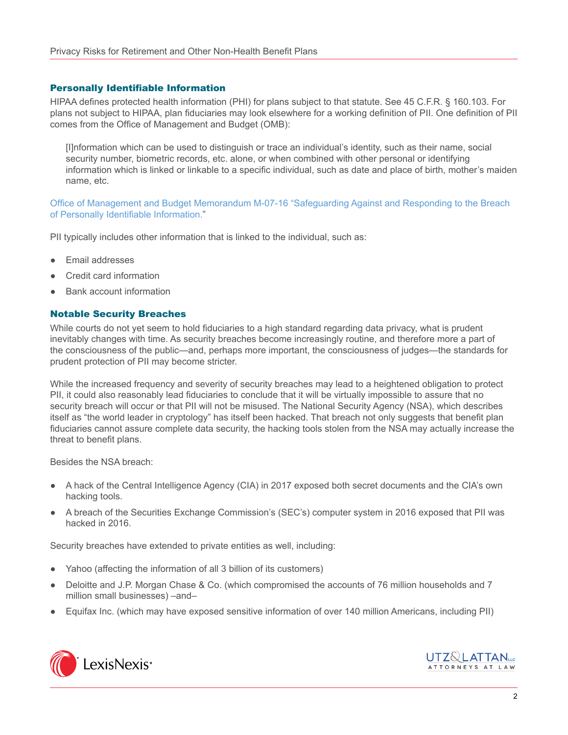## Personally Identifiable Information

HIPAA defines protected health information (PHI) for plans subject to that statute. See 45 C.F.R. § 160.103. For plans not subject to HIPAA, plan fiduciaries may look elsewhere for a working definition of PII. One definition of PII comes from the Office of Management and Budget (OMB):

[I]nformation which can be used to distinguish or trace an individual's identity, such as their name, social security number, biometric records, etc. alone, or when combined with other personal or identifying information which is linked or linkable to a specific individual, such as date and place of birth, mother's maiden name, etc.

[Office of Management and Budget Memorandum M-07-16 "Safeguarding Against and Responding to the Breach](https://www.cippguide.org/2010/05/04/omb-memorandum-07-16-safeguarding-against-and-responding-to-the-breach-of-personally-identifiable-information/)  [of Personally Identifiable Information."](https://www.cippguide.org/2010/05/04/omb-memorandum-07-16-safeguarding-against-and-responding-to-the-breach-of-personally-identifiable-information/)

PII typically includes other information that is linked to the individual, such as:

- Email addresses
- Credit card information
- **Bank account information**

## Notable Security Breaches

While courts do not yet seem to hold fiduciaries to a high standard regarding data privacy, what is prudent inevitably changes with time. As security breaches become increasingly routine, and therefore more a part of the consciousness of the public—and, perhaps more important, the consciousness of judges—the standards for prudent protection of PII may become stricter.

While the increased frequency and severity of security breaches may lead to a heightened obligation to protect PII, it could also reasonably lead fiduciaries to conclude that it will be virtually impossible to assure that no security breach will occur or that PII will not be misused. The National Security Agency (NSA), which describes itself as "the world leader in cryptology" has itself been hacked. That breach not only suggests that benefit plan fiduciaries cannot assure complete data security, the hacking tools stolen from the NSA may actually increase the threat to benefit plans.

Besides the NSA breach:

- A hack of the Central Intelligence Agency (CIA) in 2017 exposed both secret documents and the CIA's own hacking tools.
- A breach of the Securities Exchange Commission's (SEC's) computer system in 2016 exposed that PII was hacked in 2016.

Security breaches have extended to private entities as well, including:

- Yahoo (affecting the information of all 3 billion of its customers)
- Deloitte and J.P. Morgan Chase & Co. (which compromised the accounts of 76 million households and 7 million small businesses) –and–
- Equifax Inc. (which may have exposed sensitive information of over 140 million Americans, including PII)



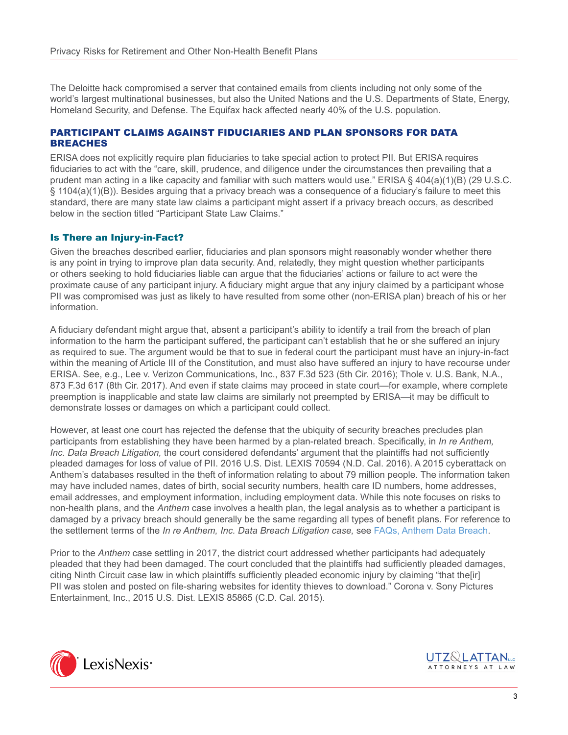The Deloitte hack compromised a server that contained emails from clients including not only some of the world's largest multinational businesses, but also the United Nations and the U.S. Departments of State, Energy, Homeland Security, and Defense. The Equifax hack affected nearly 40% of the U.S. population.

## PARTICIPANT CLAIMS AGAINST FIDUCIARIES AND PLAN SPONSORS FOR DATA BREACHES

ERISA does not explicitly require plan fiduciaries to take special action to protect PII. But ERISA requires fiduciaries to act with the "care, skill, prudence, and diligence under the circumstances then prevailing that a prudent man acting in a like capacity and familiar with such matters would use." ERISA § 404(a)(1)(B) (29 U.S.C. § 1104(a)(1)(B)). Besides arguing that a privacy breach was a consequence of a fiduciary's failure to meet this standard, there are many state law claims a participant might assert if a privacy breach occurs, as described below in the section titled "Participant State Law Claims."

## Is There an Injury-in-Fact?

Given the breaches described earlier, fiduciaries and plan sponsors might reasonably wonder whether there is any point in trying to improve plan data security. And, relatedly, they might question whether participants or others seeking to hold fiduciaries liable can argue that the fiduciaries' actions or failure to act were the proximate cause of any participant injury. A fiduciary might argue that any injury claimed by a participant whose PII was compromised was just as likely to have resulted from some other (non-ERISA plan) breach of his or her information.

A fiduciary defendant might argue that, absent a participant's ability to identify a trail from the breach of plan information to the harm the participant suffered, the participant can't establish that he or she suffered an injury as required to sue. The argument would be that to sue in federal court the participant must have an injury-in-fact within the meaning of Article III of the Constitution, and must also have suffered an injury to have recourse under ERISA. See, e.g., Lee v. Verizon Communications, Inc., 837 F.3d 523 (5th Cir. 2016); Thole v. U.S. Bank, N.A., 873 F.3d 617 (8th Cir. 2017). And even if state claims may proceed in state court—for example, where complete preemption is inapplicable and state law claims are similarly not preempted by ERISA—it may be difficult to demonstrate losses or damages on which a participant could collect.

However, at least one court has rejected the defense that the ubiquity of security breaches precludes plan participants from establishing they have been harmed by a plan-related breach. Specifically, in *In re Anthem, Inc. Data Breach Litigation,* the court considered defendants' argument that the plaintiffs had not sufficiently pleaded damages for loss of value of PII. 2016 U.S. Dist. LEXIS 70594 (N.D. Cal. 2016). A 2015 cyberattack on Anthem's databases resulted in the theft of information relating to about 79 million people. The information taken may have included names, dates of birth, social security numbers, health care ID numbers, home addresses, email addresses, and employment information, including employment data. While this note focuses on risks to non-health plans, and the *Anthem* case involves a health plan, the legal analysis as to whether a participant is damaged by a privacy breach should generally be the same regarding all types of benefit plans. For reference to the settlement terms of the *In re Anthem, Inc. Data Breach Litigation case,* see [FAQs, Anthem Data Breach](http://www.databreach-settlement.com/Home/FAQ).

Prior to the *Anthem* case settling in 2017, the district court addressed whether participants had adequately pleaded that they had been damaged. The court concluded that the plaintiffs had sufficiently pleaded damages, citing Ninth Circuit case law in which plaintiffs sufficiently pleaded economic injury by claiming "that the[ir] PII was stolen and posted on file-sharing websites for identity thieves to download." Corona v. Sony Pictures Entertainment, Inc., 2015 U.S. Dist. LEXIS 85865 (C.D. Cal. 2015).



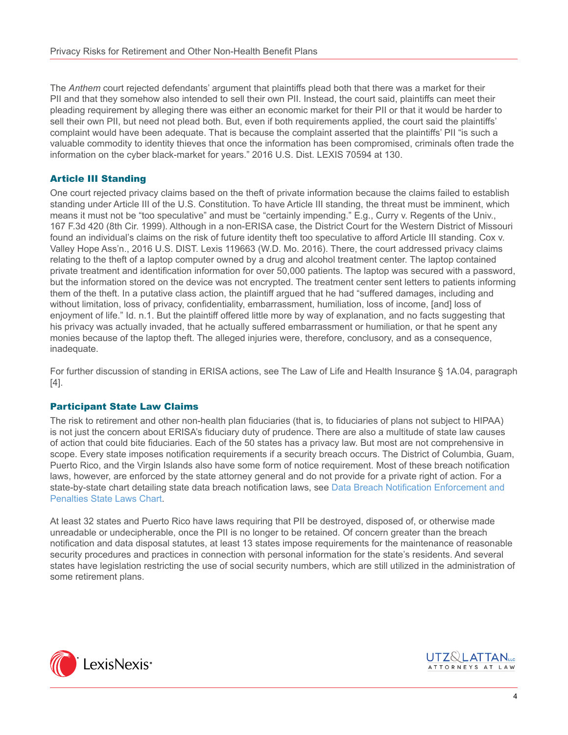The *Anthem* court rejected defendants' argument that plaintiffs plead both that there was a market for their PII and that they somehow also intended to sell their own PII. Instead, the court said, plaintiffs can meet their pleading requirement by alleging there was either an economic market for their PII or that it would be harder to sell their own PII, but need not plead both. But, even if both requirements applied, the court said the plaintiffs' complaint would have been adequate. That is because the complaint asserted that the plaintiffs' PII "is such a valuable commodity to identity thieves that once the information has been compromised, criminals often trade the information on the cyber black-market for years." 2016 U.S. Dist. LEXIS 70594 at 130.

# Article III Standing

One court rejected privacy claims based on the theft of private information because the claims failed to establish standing under Article III of the U.S. Constitution. To have Article III standing, the threat must be imminent, which means it must not be "too speculative" and must be "certainly impending." E.g., Curry v. Regents of the Univ., 167 F.3d 420 (8th Cir. 1999). Although in a non-ERISA case, the District Court for the Western District of Missouri found an individual's claims on the risk of future identity theft too speculative to afford Article III standing. Cox v. Valley Hope Ass'n., 2016 U.S. DIST. Lexis 119663 (W.D. Mo. 2016). There, the court addressed privacy claims relating to the theft of a laptop computer owned by a drug and alcohol treatment center. The laptop contained private treatment and identification information for over 50,000 patients. The laptop was secured with a password, but the information stored on the device was not encrypted. The treatment center sent letters to patients informing them of the theft. In a putative class action, the plaintiff argued that he had "suffered damages, including and without limitation, loss of privacy, confidentiality, embarrassment, humiliation, loss of income, [and] loss of enjoyment of life." Id. n.1. But the plaintiff offered little more by way of explanation, and no facts suggesting that his privacy was actually invaded, that he actually suffered embarrassment or humiliation, or that he spent any monies because of the laptop theft. The alleged injuries were, therefore, conclusory, and as a consequence, inadequate.

For further discussion of standing in ERISA actions, see The Law of Life and Health Insurance § 1A.04, paragraph [4].

## Participant State Law Claims

The risk to retirement and other non-health plan fiduciaries (that is, to fiduciaries of plans not subject to HIPAA) is not just the concern about ERISA's fiduciary duty of prudence. There are also a multitude of state law causes of action that could bite fiduciaries. Each of the 50 states has a privacy law. But most are not comprehensive in scope. Every state imposes notification requirements if a security breach occurs. The District of Columbia, Guam, Puerto Rico, and the Virgin Islands also have some form of notice requirement. Most of these breach notification laws, however, are enforced by the state attorney general and do not provide for a private right of action. For a state-by-state chart detailing state data breach notification laws, see [Data Breach Notification Enforcement and](https://advance.lexis.com/open/document/lpadocument/?pdmfid=1000522&crid=07fd9450-a0e7-447d-9ea9-c404a8b9ace0&pddocfullpath=%2Fshared%2Fdocument%2Fanalytical-materials%2Furn%3AcontentItem%3A5RVC-NRV1-F2F4-G1Y5-00000-00&pddocid=urn%3AcontentItem%3A5RVC-NRV1-F2F4-G1Y5-00000-00&pdcontentcomponentid=126220&pdteaserkey=sr0&pditab=allpods&ecomp=-vtg&earg=sr0&prid=0513cb73-970a-47af-b62d-82b177a41a72)  [Penalties State Laws Chart.](https://advance.lexis.com/open/document/lpadocument/?pdmfid=1000522&crid=07fd9450-a0e7-447d-9ea9-c404a8b9ace0&pddocfullpath=%2Fshared%2Fdocument%2Fanalytical-materials%2Furn%3AcontentItem%3A5RVC-NRV1-F2F4-G1Y5-00000-00&pddocid=urn%3AcontentItem%3A5RVC-NRV1-F2F4-G1Y5-00000-00&pdcontentcomponentid=126220&pdteaserkey=sr0&pditab=allpods&ecomp=-vtg&earg=sr0&prid=0513cb73-970a-47af-b62d-82b177a41a72)

At least 32 states and Puerto Rico have laws requiring that PII be destroyed, disposed of, or otherwise made unreadable or undecipherable, once the PII is no longer to be retained. Of concern greater than the breach notification and data disposal statutes, at least 13 states impose requirements for the maintenance of reasonable security procedures and practices in connection with personal information for the state's residents. And several states have legislation restricting the use of social security numbers, which are still utilized in the administration of some retirement plans.



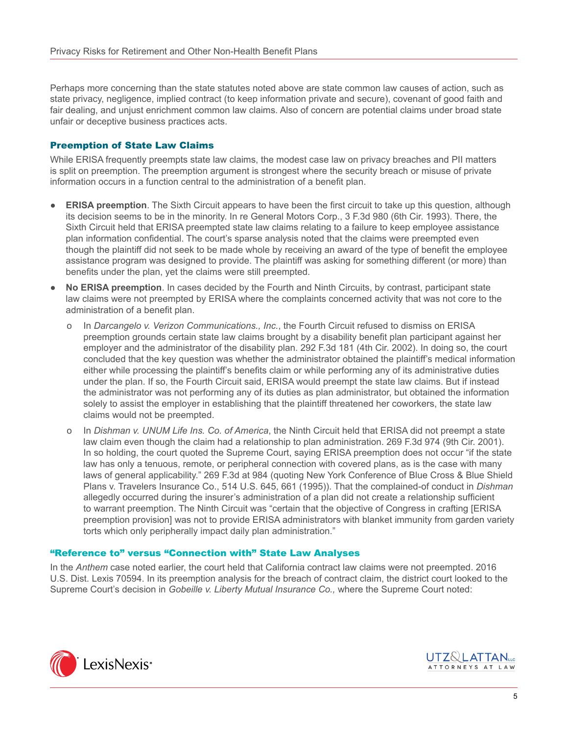Perhaps more concerning than the state statutes noted above are state common law causes of action, such as state privacy, negligence, implied contract (to keep information private and secure), covenant of good faith and fair dealing, and unjust enrichment common law claims. Also of concern are potential claims under broad state unfair or deceptive business practices acts.

## Preemption of State Law Claims

While ERISA frequently preempts state law claims, the modest case law on privacy breaches and PII matters is split on preemption. The preemption argument is strongest where the security breach or misuse of private information occurs in a function central to the administration of a benefit plan.

- **ERISA preemption**. The Sixth Circuit appears to have been the first circuit to take up this question, although its decision seems to be in the minority. In re General Motors Corp., 3 F.3d 980 (6th Cir. 1993). There, the Sixth Circuit held that ERISA preempted state law claims relating to a failure to keep employee assistance plan information confidential. The court's sparse analysis noted that the claims were preempted even though the plaintiff did not seek to be made whole by receiving an award of the type of benefit the employee assistance program was designed to provide. The plaintiff was asking for something different (or more) than benefits under the plan, yet the claims were still preempted.
- **No ERISA preemption**. In cases decided by the Fourth and Ninth Circuits, by contrast, participant state law claims were not preempted by ERISA where the complaints concerned activity that was not core to the administration of a benefit plan.
	- o In *Darcangelo v. Verizon Communications., Inc.*, the Fourth Circuit refused to dismiss on ERISA preemption grounds certain state law claims brought by a disability benefit plan participant against her employer and the administrator of the disability plan. 292 F.3d 181 (4th Cir. 2002). In doing so, the court concluded that the key question was whether the administrator obtained the plaintiff's medical information either while processing the plaintiff's benefits claim or while performing any of its administrative duties under the plan. If so, the Fourth Circuit said, ERISA would preempt the state law claims. But if instead the administrator was not performing any of its duties as plan administrator, but obtained the information solely to assist the employer in establishing that the plaintiff threatened her coworkers, the state law claims would not be preempted.
	- o In *Dishman v. UNUM Life Ins. Co. of America*, the Ninth Circuit held that ERISA did not preempt a state law claim even though the claim had a relationship to plan administration. 269 F.3d 974 (9th Cir. 2001). In so holding, the court quoted the Supreme Court, saying ERISA preemption does not occur "if the state law has only a tenuous, remote, or peripheral connection with covered plans, as is the case with many laws of general applicability." 269 F.3d at 984 (quoting New York Conference of Blue Cross & Blue Shield Plans v. Travelers Insurance Co., 514 U.S. 645, 661 (1995)). That the complained-of conduct in *Dishman* allegedly occurred during the insurer's administration of a plan did not create a relationship sufficient to warrant preemption. The Ninth Circuit was "certain that the objective of Congress in crafting [ERISA preemption provision] was not to provide ERISA administrators with blanket immunity from garden variety torts which only peripherally impact daily plan administration."

## "Reference to" versus "Connection with" State Law Analyses

In the *Anthem* case noted earlier, the court held that California contract law claims were not preempted. 2016 U.S. Dist. Lexis 70594. In its preemption analysis for the breach of contract claim, the district court looked to the Supreme Court's decision in *Gobeille v. Liberty Mutual Insurance Co.,* where the Supreme Court noted:



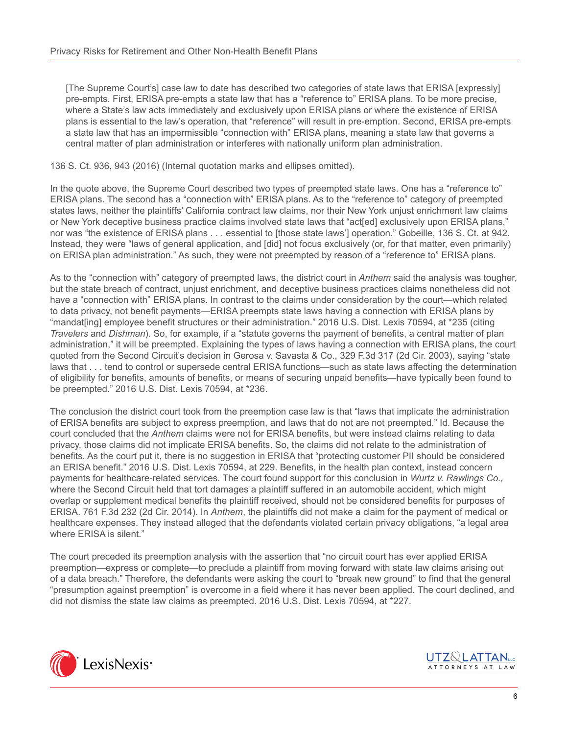[The Supreme Court's] case law to date has described two categories of state laws that ERISA [expressly] pre-empts. First, ERISA pre-empts a state law that has a "reference to" ERISA plans. To be more precise, where a State's law acts immediately and exclusively upon ERISA plans or where the existence of ERISA plans is essential to the law's operation, that "reference" will result in pre-emption. Second, ERISA pre-empts a state law that has an impermissible "connection with" ERISA plans, meaning a state law that governs a central matter of plan administration or interferes with nationally uniform plan administration.

136 S. Ct. 936, 943 (2016) (Internal quotation marks and ellipses omitted).

In the quote above, the Supreme Court described two types of preempted state laws. One has a "reference to" ERISA plans. The second has a "connection with" ERISA plans. As to the "reference to" category of preempted states laws, neither the plaintiffs' California contract law claims, nor their New York unjust enrichment law claims or New York deceptive business practice claims involved state laws that "act[ed] exclusively upon ERISA plans," nor was "the existence of ERISA plans . . . essential to [those state laws'] operation." Gobeille, 136 S. Ct. at 942. Instead, they were "laws of general application, and [did] not focus exclusively (or, for that matter, even primarily) on ERISA plan administration." As such, they were not preempted by reason of a "reference to" ERISA plans.

As to the "connection with" category of preempted laws, the district court in *Anthem* said the analysis was tougher, but the state breach of contract, unjust enrichment, and deceptive business practices claims nonetheless did not have a "connection with" ERISA plans. In contrast to the claims under consideration by the court—which related to data privacy, not benefit payments—ERISA preempts state laws having a connection with ERISA plans by "mandat[ing] employee benefit structures or their administration." 2016 U.S. Dist. Lexis 70594, at \*235 (citing *Travelers* and *Dishman*). So, for example, if a "statute governs the payment of benefits, a central matter of plan administration," it will be preempted. Explaining the types of laws having a connection with ERISA plans, the court quoted from the Second Circuit's decision in Gerosa v. Savasta & Co., 329 F.3d 317 (2d Cir. 2003), saying "state laws that . . . tend to control or supersede central ERISA functions—such as state laws affecting the determination of eligibility for benefits, amounts of benefits, or means of securing unpaid benefits—have typically been found to be preempted." 2016 U.S. Dist. Lexis 70594, at \*236.

The conclusion the district court took from the preemption case law is that "laws that implicate the administration of ERISA benefits are subject to express preemption, and laws that do not are not preempted." Id. Because the court concluded that the *Anthem* claims were not for ERISA benefits, but were instead claims relating to data privacy, those claims did not implicate ERISA benefits. So, the claims did not relate to the administration of benefits. As the court put it, there is no suggestion in ERISA that "protecting customer PII should be considered an ERISA benefit." 2016 U.S. Dist. Lexis 70594, at 229. Benefits, in the health plan context, instead concern payments for healthcare-related services. The court found support for this conclusion in *Wurtz v. Rawlings Co.,* where the Second Circuit held that tort damages a plaintiff suffered in an automobile accident, which might overlap or supplement medical benefits the plaintiff received, should not be considered benefits for purposes of ERISA. 761 F.3d 232 (2d Cir. 2014). In *Anthem*, the plaintiffs did not make a claim for the payment of medical or healthcare expenses. They instead alleged that the defendants violated certain privacy obligations, "a legal area where ERISA is silent."

The court preceded its preemption analysis with the assertion that "no circuit court has ever applied ERISA preemption—express or complete—to preclude a plaintiff from moving forward with state law claims arising out of a data breach." Therefore, the defendants were asking the court to "break new ground" to find that the general "presumption against preemption" is overcome in a field where it has never been applied. The court declined, and did not dismiss the state law claims as preempted. 2016 U.S. Dist. Lexis 70594, at \*227.



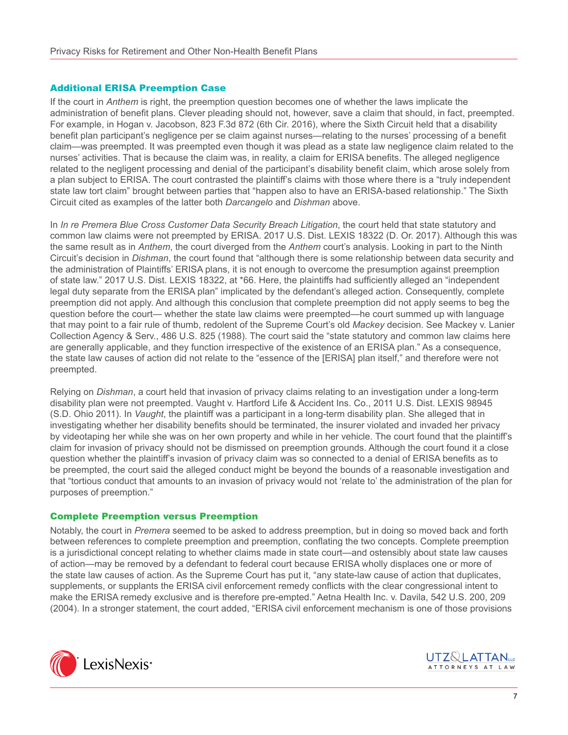## Additional ERISA Preemption Case

If the court in *Anthem* is right, the preemption question becomes one of whether the laws implicate the administration of benefit plans. Clever pleading should not, however, save a claim that should, in fact, preempted. For example, in Hogan v. Jacobson, 823 F.3d 872 (6th Cir. 2016), where the Sixth Circuit held that a disability benefit plan participant's negligence per se claim against nurses—relating to the nurses' processing of a benefit claim—was preempted. It was preempted even though it was plead as a state law negligence claim related to the nurses' activities. That is because the claim was, in reality, a claim for ERISA benefits. The alleged negligence related to the negligent processing and denial of the participant's disability benefit claim, which arose solely from a plan subject to ERISA. The court contrasted the plaintiff's claims with those where there is a "truly independent state law tort claim" brought between parties that "happen also to have an ERISA-based relationship." The Sixth Circuit cited as examples of the latter both *Darcangelo* and *Dishman* above.

In *In re Premera Blue Cross Customer Data Security Breach Litigation*, the court held that state statutory and common law claims were not preempted by ERISA. 2017 U.S. Dist. LEXIS 18322 (D. Or. 2017). Although this was the same result as in *Anthem*, the court diverged from the *Anthem* court's analysis. Looking in part to the Ninth Circuit's decision in *Dishman*, the court found that "although there is some relationship between data security and the administration of Plaintiffs' ERISA plans, it is not enough to overcome the presumption against preemption of state law." 2017 U.S. Dist. LEXIS 18322, at \*66. Here, the plaintiffs had sufficiently alleged an "independent legal duty separate from the ERISA plan" implicated by the defendant's alleged action. Consequently, complete preemption did not apply. And although this conclusion that complete preemption did not apply seems to beg the question before the court— whether the state law claims were preempted—he court summed up with language that may point to a fair rule of thumb, redolent of the Supreme Court's old *Mackey* decision. See Mackey v. Lanier Collection Agency & Serv., 486 U.S. 825 (1988). The court said the "state statutory and common law claims here are generally applicable, and they function irrespective of the existence of an ERISA plan." As a consequence, the state law causes of action did not relate to the "essence of the [ERISA] plan itself," and therefore were not preempted.

Relying on *Dishman*, a court held that invasion of privacy claims relating to an investigation under a long-term disability plan were not preempted. Vaught v. Hartford Life & Accident Ins. Co., 2011 U.S. Dist. LEXIS 98945 (S.D. Ohio 2011). In *Vaught*, the plaintiff was a participant in a long-term disability plan. She alleged that in investigating whether her disability benefits should be terminated, the insurer violated and invaded her privacy by videotaping her while she was on her own property and while in her vehicle. The court found that the plaintiff's claim for invasion of privacy should not be dismissed on preemption grounds. Although the court found it a close question whether the plaintiff's invasion of privacy claim was so connected to a denial of ERISA benefits as to be preempted, the court said the alleged conduct might be beyond the bounds of a reasonable investigation and that "tortious conduct that amounts to an invasion of privacy would not 'relate to' the administration of the plan for purposes of preemption."

## Complete Preemption versus Preemption

Notably, the court in *Premera* seemed to be asked to address preemption, but in doing so moved back and forth between references to complete preemption and preemption, conflating the two concepts. Complete preemption is a jurisdictional concept relating to whether claims made in state court—and ostensibly about state law causes of action—may be removed by a defendant to federal court because ERISA wholly displaces one or more of the state law causes of action. As the Supreme Court has put it, "any state-law cause of action that duplicates, supplements, or supplants the ERISA civil enforcement remedy conflicts with the clear congressional intent to make the ERISA remedy exclusive and is therefore pre-empted." Aetna Health Inc. v. Davila, 542 U.S. 200, 209 (2004). In a stronger statement, the court added, "ERISA civil enforcement mechanism is one of those provisions



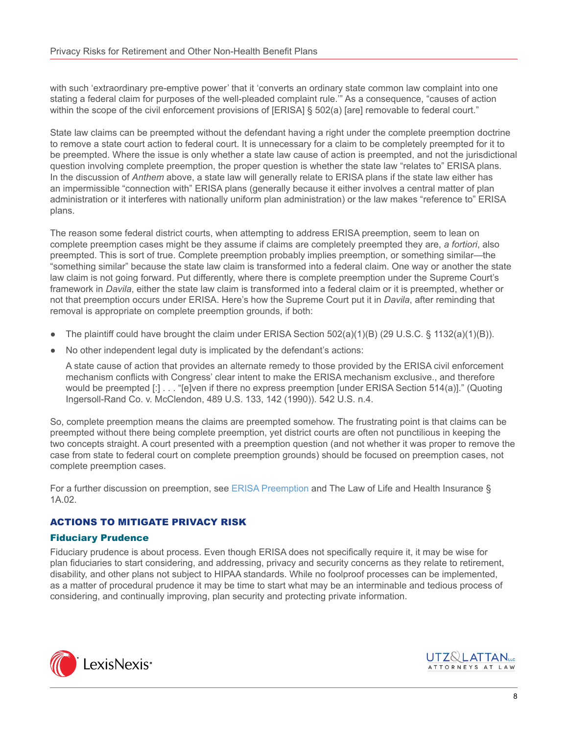with such 'extraordinary pre-emptive power' that it 'converts an ordinary state common law complaint into one stating a federal claim for purposes of the well-pleaded complaint rule.'" As a consequence, "causes of action within the scope of the civil enforcement provisions of [ERISA] § 502(a) [are] removable to federal court."

State law claims can be preempted without the defendant having a right under the complete preemption doctrine to remove a state court action to federal court. It is unnecessary for a claim to be completely preempted for it to be preempted. Where the issue is only whether a state law cause of action is preempted, and not the jurisdictional question involving complete preemption, the proper question is whether the state law "relates to" ERISA plans. In the discussion of *Anthem* above, a state law will generally relate to ERISA plans if the state law either has an impermissible "connection with" ERISA plans (generally because it either involves a central matter of plan administration or it interferes with nationally uniform plan administration) or the law makes "reference to" ERISA plans.

The reason some federal district courts, when attempting to address ERISA preemption, seem to lean on complete preemption cases might be they assume if claims are completely preempted they are, *a fortiori*, also preempted. This is sort of true. Complete preemption probably implies preemption, or something similar—the "something similar" because the state law claim is transformed into a federal claim. One way or another the state law claim is not going forward. Put differently, where there is complete preemption under the Supreme Court's framework in *Davila*, either the state law claim is transformed into a federal claim or it is preempted, whether or not that preemption occurs under ERISA. Here's how the Supreme Court put it in *Davila*, after reminding that removal is appropriate on complete preemption grounds, if both:

- The plaintiff could have brought the claim under ERISA Section  $502(a)(1)(B)$  (29 U.S.C. § 1132(a)(1)(B)).
- No other independent legal duty is implicated by the defendant's actions:

A state cause of action that provides an alternate remedy to those provided by the ERISA civil enforcement mechanism conflicts with Congress' clear intent to make the ERISA mechanism exclusive., and therefore would be preempted  $[:]$  . . . "[e]ven if there no express preemption [under ERISA Section 514(a)]." (Quoting Ingersoll-Rand Co. v. McClendon, 489 U.S. 133, 142 (1990)). 542 U.S. n.4.

So, complete preemption means the claims are preempted somehow. The frustrating point is that claims can be preempted without there being complete preemption, yet district courts are often not punctilious in keeping the two concepts straight. A court presented with a preemption question (and not whether it was proper to remove the case from state to federal court on complete preemption grounds) should be focused on preemption cases, not complete preemption cases.

For a further discussion on preemption, see [ERISA Preemption](https://advance.lexis.com/open/document/lpadocument/?pdmfid=1000522&crid=37f91802-7b7f-4999-bd83-d5336bac1651&pddocfullpath=%2Fshared%2Fdocument%2Fanalytical-materials%2Furn%3AcontentItem%3A5RGJ-WF01-FJTD-G3CC-00000-00&pddocid=urn%3AcontentItem%3A5RGJ-WF01-FJTD-G3CC-00000-00&pdcontentcomponentid=231516&pdteaserkey=sr0&pditab=allpods&ecomp=-vtg&earg=sr0&prid=eb029619-d609-4f41-a7fa-26ed0b8d3f24) and The Law of Life and Health Insurance § 1A.02.

# ACTIONS TO MITIGATE PRIVACY RISK

## Fiduciary Prudence

Fiduciary prudence is about process. Even though ERISA does not specifically require it, it may be wise for plan fiduciaries to start considering, and addressing, privacy and security concerns as they relate to retirement, disability, and other plans not subject to HIPAA standards. While no foolproof processes can be implemented, as a matter of procedural prudence it may be time to start what may be an interminable and tedious process of considering, and continually improving, plan security and protecting private information.



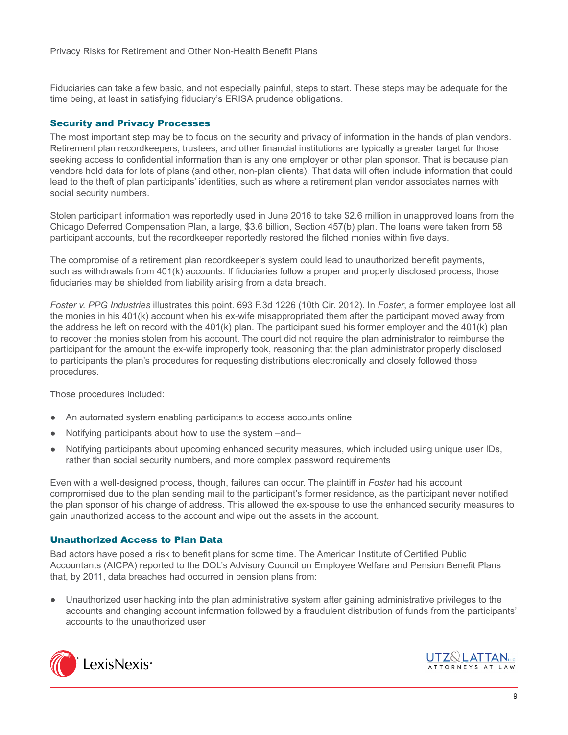Fiduciaries can take a few basic, and not especially painful, steps to start. These steps may be adequate for the time being, at least in satisfying fiduciary's ERISA prudence obligations.

## Security and Privacy Processes

The most important step may be to focus on the security and privacy of information in the hands of plan vendors. Retirement plan recordkeepers, trustees, and other financial institutions are typically a greater target for those seeking access to confidential information than is any one employer or other plan sponsor. That is because plan vendors hold data for lots of plans (and other, non-plan clients). That data will often include information that could lead to the theft of plan participants' identities, such as where a retirement plan vendor associates names with social security numbers.

Stolen participant information was reportedly used in June 2016 to take \$2.6 million in unapproved loans from the Chicago Deferred Compensation Plan, a large, \$3.6 billion, Section 457(b) plan. The loans were taken from 58 participant accounts, but the recordkeeper reportedly restored the filched monies within five days.

The compromise of a retirement plan recordkeeper's system could lead to unauthorized benefit payments, such as withdrawals from 401(k) accounts. If fiduciaries follow a proper and properly disclosed process, those fiduciaries may be shielded from liability arising from a data breach.

*Foster v. PPG Industries* illustrates this point. 693 F.3d 1226 (10th Cir. 2012). In *Foster*, a former employee lost all the monies in his 401(k) account when his ex-wife misappropriated them after the participant moved away from the address he left on record with the 401(k) plan. The participant sued his former employer and the 401(k) plan to recover the monies stolen from his account. The court did not require the plan administrator to reimburse the participant for the amount the ex-wife improperly took, reasoning that the plan administrator properly disclosed to participants the plan's procedures for requesting distributions electronically and closely followed those procedures.

Those procedures included:

- An automated system enabling participants to access accounts online
- Notifying participants about how to use the system –and–
- Notifying participants about upcoming enhanced security measures, which included using unique user IDs, rather than social security numbers, and more complex password requirements

Even with a well-designed process, though, failures can occur. The plaintiff in *Foster* had his account compromised due to the plan sending mail to the participant's former residence, as the participant never notified the plan sponsor of his change of address. This allowed the ex-spouse to use the enhanced security measures to gain unauthorized access to the account and wipe out the assets in the account.

## Unauthorized Access to Plan Data

Bad actors have posed a risk to benefit plans for some time. The American Institute of Certified Public Accountants (AICPA) reported to the DOL's Advisory Council on Employee Welfare and Pension Benefit Plans that, by 2011, data breaches had occurred in pension plans from:

● Unauthorized user hacking into the plan administrative system after gaining administrative privileges to the accounts and changing account information followed by a fraudulent distribution of funds from the participants' accounts to the unauthorized user



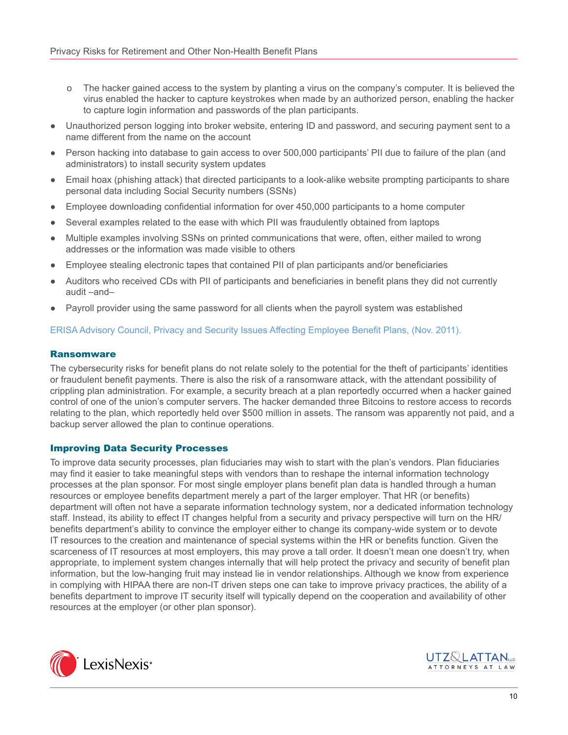- o The hacker gained access to the system by planting a virus on the company's computer. It is believed the virus enabled the hacker to capture keystrokes when made by an authorized person, enabling the hacker to capture login information and passwords of the plan participants.
- Unauthorized person logging into broker website, entering ID and password, and securing payment sent to a name different from the name on the account
- Person hacking into database to gain access to over 500,000 participants' PII due to failure of the plan (and administrators) to install security system updates
- Email hoax (phishing attack) that directed participants to a look-alike website prompting participants to share personal data including Social Security numbers (SSNs)
- Employee downloading confidential information for over 450,000 participants to a home computer
- Several examples related to the ease with which PII was fraudulently obtained from laptops
- Multiple examples involving SSNs on printed communications that were, often, either mailed to wrong addresses or the information was made visible to others
- Employee stealing electronic tapes that contained PII of plan participants and/or beneficiaries
- Auditors who received CDs with PII of participants and beneficiaries in benefit plans they did not currently audit –and–
- Payroll provider using the same password for all clients when the payroll system was established

#### [ERISA Advisory Council, Privacy and Security Issues Affecting Employee Benefit Plans, \(Nov. 2011\).](https://www.dol.gov/sites/default/files/ebsa/about-ebsa/about-us/erisa-advisory-council/2011-privacy-and-security-issues-affecting-employee-benefit-plans.pdf)

#### Ransomware

The cybersecurity risks for benefit plans do not relate solely to the potential for the theft of participants' identities or fraudulent benefit payments. There is also the risk of a ransomware attack, with the attendant possibility of crippling plan administration. For example, a security breach at a plan reportedly occurred when a hacker gained control of one of the union's computer servers. The hacker demanded three Bitcoins to restore access to records relating to the plan, which reportedly held over \$500 million in assets. The ransom was apparently not paid, and a backup server allowed the plan to continue operations.

#### Improving Data Security Processes

To improve data security processes, plan fiduciaries may wish to start with the plan's vendors. Plan fiduciaries may find it easier to take meaningful steps with vendors than to reshape the internal information technology processes at the plan sponsor. For most single employer plans benefit plan data is handled through a human resources or employee benefits department merely a part of the larger employer. That HR (or benefits) department will often not have a separate information technology system, nor a dedicated information technology staff. Instead, its ability to effect IT changes helpful from a security and privacy perspective will turn on the HR/ benefits department's ability to convince the employer either to change its company-wide system or to devote IT resources to the creation and maintenance of special systems within the HR or benefits function. Given the scarceness of IT resources at most employers, this may prove a tall order. It doesn't mean one doesn't try, when appropriate, to implement system changes internally that will help protect the privacy and security of benefit plan information, but the low-hanging fruit may instead lie in vendor relationships. Although we know from experience in complying with HIPAA there are non-IT driven steps one can take to improve privacy practices, the ability of a benefits department to improve IT security itself will typically depend on the cooperation and availability of other resources at the employer (or other plan sponsor).



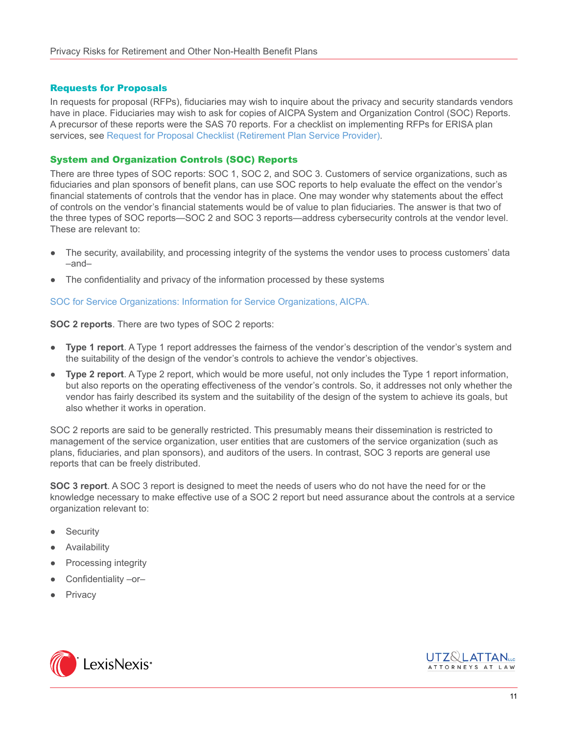## Requests for Proposals

In requests for proposal (RFPs), fiduciaries may wish to inquire about the privacy and security standards vendors have in place. Fiduciaries may wish to ask for copies of AICPA System and Organization Control (SOC) Reports. A precursor of these reports were the SAS 70 reports. For a checklist on implementing RFPs for ERISA plan services, see [Request for Proposal Checklist \(Retirement Plan Service Provider\).](https://advance.lexis.com/open/document/lpadocument/?pdmfid=1000522&crid=4eb9990d-e50c-4d6e-8198-d6b62c8f5a55&pddocfullpath=%2Fshared%2Fdocument%2Fforms%2Furn%3AcontentItem%3A5PG0-3421-JNCK-22VF-00000-00&pddocid=urn%3AcontentItem%3A5PG0-3421-JNCK-22VF-00000-00&pdcontentcomponentid=231525&pdteaserkey=sr0&pditab=allpods&ecomp=-vtg&earg=sr0&prid=14055923-883d-43f3-b70c-e37ddc0b8bdf)

## System and Organization Controls (SOC) Reports

There are three types of SOC reports: SOC 1, SOC 2, and SOC 3. Customers of service organizations, such as fiduciaries and plan sponsors of benefit plans, can use SOC reports to help evaluate the effect on the vendor's financial statements of controls that the vendor has in place. One may wonder why statements about the effect of controls on the vendor's financial statements would be of value to plan fiduciaries. The answer is that two of the three types of SOC reports—SOC 2 and SOC 3 reports—address cybersecurity controls at the vendor level. These are relevant to:

- The security, availability, and processing integrity of the systems the vendor uses to process customers' data –and–
- The confidentiality and privacy of the information processed by these systems

## [SOC for Service Organizations: Information for Service Organizations, AICPA.](https://www.aicpa.org/interestareas/frc/assuranceadvisoryservices/serviceorganization-smanagement.html)

**SOC 2 reports**. There are two types of SOC 2 reports:

- **Type 1 report**. A Type 1 report addresses the fairness of the vendor's description of the vendor's system and the suitability of the design of the vendor's controls to achieve the vendor's objectives.
- **Type 2 report**. A Type 2 report, which would be more useful, not only includes the Type 1 report information, but also reports on the operating effectiveness of the vendor's controls. So, it addresses not only whether the vendor has fairly described its system and the suitability of the design of the system to achieve its goals, but also whether it works in operation.

SOC 2 reports are said to be generally restricted. This presumably means their dissemination is restricted to management of the service organization, user entities that are customers of the service organization (such as plans, fiduciaries, and plan sponsors), and auditors of the users. In contrast, SOC 3 reports are general use reports that can be freely distributed.

**SOC 3 report**. A SOC 3 report is designed to meet the needs of users who do not have the need for or the knowledge necessary to make effective use of a SOC 2 report but need assurance about the controls at a service organization relevant to:

- **Security**
- Availability
- Processing integrity
- Confidentiality –or–
- Privacy



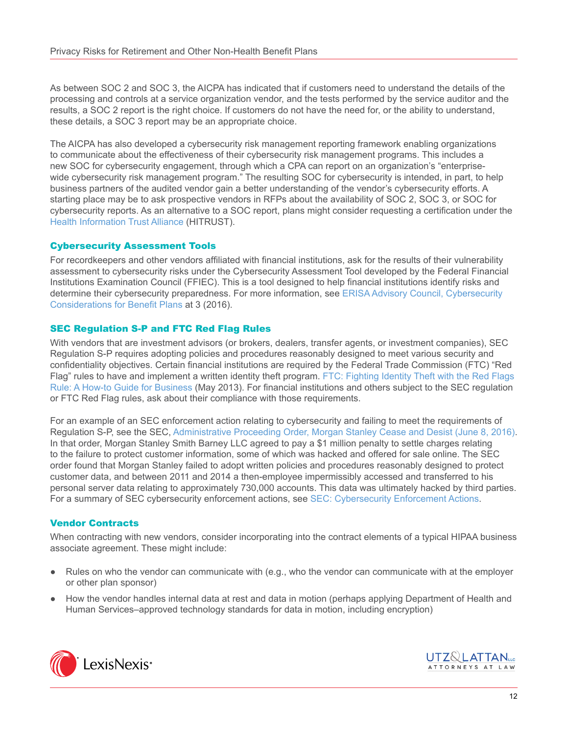As between SOC 2 and SOC 3, the AICPA has indicated that if customers need to understand the details of the processing and controls at a service organization vendor, and the tests performed by the service auditor and the results, a SOC 2 report is the right choice. If customers do not have the need for, or the ability to understand, these details, a SOC 3 report may be an appropriate choice.

The AICPA has also developed a cybersecurity risk management reporting framework enabling organizations to communicate about the effectiveness of their cybersecurity risk management programs. This includes a new SOC for cybersecurity engagement, through which a CPA can report on an organization's "enterprisewide cybersecurity risk management program." The resulting SOC for cybersecurity is intended, in part, to help business partners of the audited vendor gain a better understanding of the vendor's cybersecurity efforts. A starting place may be to ask prospective vendors in RFPs about the availability of SOC 2, SOC 3, or SOC for cybersecurity reports. As an alternative to a SOC report, plans might consider requesting a certification under the [Health Information Trust Alliance](https://hitrustalliance.net/) (HITRUST).

## Cybersecurity Assessment Tools

For recordkeepers and other vendors affiliated with financial institutions, ask for the results of their vulnerability assessment to cybersecurity risks under the Cybersecurity Assessment Tool developed by the Federal Financial Institutions Examination Council (FFIEC). This is a tool designed to help financial institutions identify risks and determine their cybersecurity preparedness. For more information, see [ERISA Advisory Council, Cybersecurity](https://www.dol.gov/sites/default/files/ebsa/about-ebsa/about-us/erisa-advisory-council/2016-cybersecurity-considerations-for-benefit-plans.pdf)  [Considerations for Benefit Plans](https://www.dol.gov/sites/default/files/ebsa/about-ebsa/about-us/erisa-advisory-council/2016-cybersecurity-considerations-for-benefit-plans.pdf) at 3 (2016).

## SEC Regulation S-P and FTC Red Flag Rules

With vendors that are investment advisors (or brokers, dealers, transfer agents, or investment companies), SEC Regulation S-P requires adopting policies and procedures reasonably designed to meet various security and confidentiality objectives. Certain financial institutions are required by the Federal Trade Commission (FTC) "Red Flag" rules to have and implement a written identity theft program. [FTC: Fighting Identity Theft with the Red Flags](https://www.ftc.gov/tips-advice/business-center/guidance/fighting-identity-theft-red-flags-rule-how-guide-business)  [Rule: A How-to Guide for Business](https://www.ftc.gov/tips-advice/business-center/guidance/fighting-identity-theft-red-flags-rule-how-guide-business) (May 2013). For financial institutions and others subject to the SEC regulation or FTC Red Flag rules, ask about their compliance with those requirements.

For an example of an SEC enforcement action relating to cybersecurity and failing to meet the requirements of Regulation S-P, see the SEC, [Administrative Proceeding Order, Morgan Stanley Cease and Desist \(June 8, 2016\)](https://www.sec.gov/litigation/admin/2016/34-78021.pdf). In that order, Morgan Stanley Smith Barney LLC agreed to pay a \$1 million penalty to settle charges relating to the failure to protect customer information, some of which was hacked and offered for sale online. The SEC order found that Morgan Stanley failed to adopt written policies and procedures reasonably designed to protect customer data, and between 2011 and 2014 a then-employee impermissibly accessed and transferred to his personal server data relating to approximately 730,000 accounts. This data was ultimately hacked by third parties. For a summary of SEC cybersecurity enforcement actions, see [SEC: Cybersecurity Enforcement Actions](https://www.sec.gov/spotlight/cybersecurity-enforcement-actions).

# Vendor Contracts

When contracting with new vendors, consider incorporating into the contract elements of a typical HIPAA business associate agreement. These might include:

- Rules on who the vendor can communicate with (e.g., who the vendor can communicate with at the employer or other plan sponsor)
- How the vendor handles internal data at rest and data in motion (perhaps applying Department of Health and Human Services–approved technology standards for data in motion, including encryption)



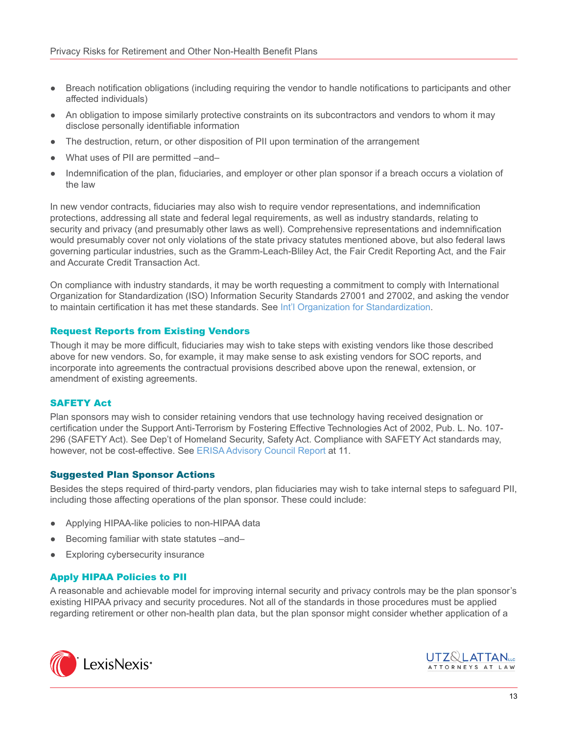- Breach notification obligations (including requiring the vendor to handle notifications to participants and other affected individuals)
- An obligation to impose similarly protective constraints on its subcontractors and vendors to whom it may disclose personally identifiable information
- The destruction, return, or other disposition of PII upon termination of the arrangement
- What uses of PII are permitted –and–
- Indemnification of the plan, fiduciaries, and employer or other plan sponsor if a breach occurs a violation of the law

In new vendor contracts, fiduciaries may also wish to require vendor representations, and indemnification protections, addressing all state and federal legal requirements, as well as industry standards, relating to security and privacy (and presumably other laws as well). Comprehensive representations and indemnification would presumably cover not only violations of the state privacy statutes mentioned above, but also federal laws governing particular industries, such as the Gramm-Leach-Bliley Act, the Fair Credit Reporting Act, and the Fair and Accurate Credit Transaction Act.

On compliance with industry standards, it may be worth requesting a commitment to comply with International Organization for Standardization (ISO) Information Security Standards 27001 and 27002, and asking the vendor to maintain certification it has met these standards. See [Int'l Organization for Standardization](https://www.iso.org/home.html).

## Request Reports from Existing Vendors

Though it may be more difficult, fiduciaries may wish to take steps with existing vendors like those described above for new vendors. So, for example, it may make sense to ask existing vendors for SOC reports, and incorporate into agreements the contractual provisions described above upon the renewal, extension, or amendment of existing agreements.

## SAFETY Act

Plan sponsors may wish to consider retaining vendors that use technology having received designation or certification under the Support Anti-Terrorism by Fostering Effective Technologies Act of 2002, Pub. L. No. 107- 296 (SAFETY Act). See Dep't of Homeland Security, Safety Act. Compliance with SAFETY Act standards may, however, not be cost-effective. See [ERISA Advisory Council Report](https://www.dol.gov/sites/default/files/ebsa/about-ebsa/about-us/erisa-advisory-council/2016-cybersecurity-considerations-for-benefit-plans.pdf) at 11.

## Suggested Plan Sponsor Actions

Besides the steps required of third-party vendors, plan fiduciaries may wish to take internal steps to safeguard PII, including those affecting operations of the plan sponsor. These could include:

- Applying HIPAA-like policies to non-HIPAA data
- Becoming familiar with state statutes –and–
- **Exploring cybersecurity insurance**

## Apply HIPAA Policies to PII

A reasonable and achievable model for improving internal security and privacy controls may be the plan sponsor's existing HIPAA privacy and security procedures. Not all of the standards in those procedures must be applied regarding retirement or other non-health plan data, but the plan sponsor might consider whether application of a



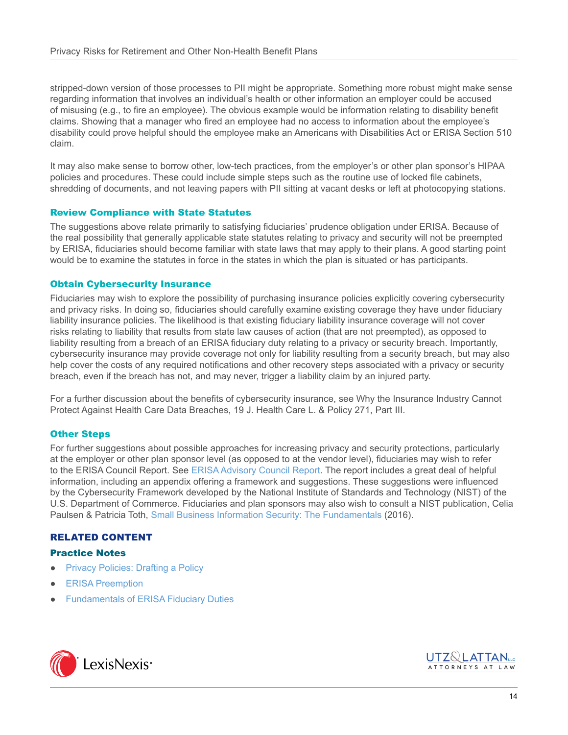stripped-down version of those processes to PII might be appropriate. Something more robust might make sense regarding information that involves an individual's health or other information an employer could be accused of misusing (e.g., to fire an employee). The obvious example would be information relating to disability benefit claims. Showing that a manager who fired an employee had no access to information about the employee's disability could prove helpful should the employee make an Americans with Disabilities Act or ERISA Section 510 claim.

It may also make sense to borrow other, low-tech practices, from the employer's or other plan sponsor's HIPAA policies and procedures. These could include simple steps such as the routine use of locked file cabinets, shredding of documents, and not leaving papers with PII sitting at vacant desks or left at photocopying stations.

## Review Compliance with State Statutes

The suggestions above relate primarily to satisfying fiduciaries' prudence obligation under ERISA. Because of the real possibility that generally applicable state statutes relating to privacy and security will not be preempted by ERISA, fiduciaries should become familiar with state laws that may apply to their plans. A good starting point would be to examine the statutes in force in the states in which the plan is situated or has participants.

#### Obtain Cybersecurity Insurance

Fiduciaries may wish to explore the possibility of purchasing insurance policies explicitly covering cybersecurity and privacy risks. In doing so, fiduciaries should carefully examine existing coverage they have under fiduciary liability insurance policies. The likelihood is that existing fiduciary liability insurance coverage will not cover risks relating to liability that results from state law causes of action (that are not preempted), as opposed to liability resulting from a breach of an ERISA fiduciary duty relating to a privacy or security breach. Importantly, cybersecurity insurance may provide coverage not only for liability resulting from a security breach, but may also help cover the costs of any required notifications and other recovery steps associated with a privacy or security breach, even if the breach has not, and may never, trigger a liability claim by an injured party.

For a further discussion about the benefits of cybersecurity insurance, see Why the Insurance Industry Cannot Protect Against Health Care Data Breaches, 19 J. Health Care L. & Policy 271, Part III.

## Other Steps

For further suggestions about possible approaches for increasing privacy and security protections, particularly at the employer or other plan sponsor level (as opposed to at the vendor level), fiduciaries may wish to refer to the ERISA Council Report. See [ERISA Advisory Council Report](https://www.dol.gov/sites/default/files/ebsa/about-ebsa/about-us/erisa-advisory-council/2016-cybersecurity-considerations-for-benefit-plans.pdf). The report includes a great deal of helpful information, including an appendix offering a framework and suggestions. These suggestions were influenced by the Cybersecurity Framework developed by the National Institute of Standards and Technology (NIST) of the U.S. Department of Commerce. Fiduciaries and plan sponsors may also wish to consult a NIST publication, Celia Paulsen & Patricia Toth, [Small Business Information Security: The Fundamentals](http://nvlpubs.nist.gov/nistpubs/ir/2016/NIST.IR.7621r1.pdf) (2016).

## RELATED CONTENT

#### Practice Notes

- **[Privacy Policies: Drafting a Policy](https://advance.lexis.com/open/document/lpadocument/?pdmfid=1000522&crid=abce6f6d-1486-4999-abfc-41b69e682675&pddocfullpath=%2Fshared%2Fdocument%2Fanalytical-materials%2Furn%3AcontentItem%3A5JG5-1CW1-FBV7-B3FR-00000-00&pddocid=urn%3AcontentItem%3A5JG5-1CW1-FBV7-B3FR-00000-00&pdcontentcomponentid=126220&pdteaserkey=sr0&pditab=allpods&ecomp=-vtg&earg=sr0&prid=963f43eb-b4ce-48e2-9edd-71b986887b10)**
- **[ERISA Preemption](https://advance.lexis.com/open/document/lpadocument/?pdmfid=1000522&crid=13300fee-6124-4415-8820-ef09b583ea38&pddocfullpath=%2Fshared%2Fdocument%2Fanalytical-materials%2Furn%3AcontentItem%3A5RGJ-WF01-FJTD-G3CC-00000-00&pddocid=urn%3AcontentItem%3A5RGJ-WF01-FJTD-G3CC-00000-00&pdcontentcomponentid=231516&pdteaserkey=sr0&pditab=allpods&ecomp=-vtg&earg=sr0&prid=90392043-b490-4fec-9253-fa361f5af8a1)**
- **[Fundamentals of ERISA Fiduciary Duties](https://advance.lexis.com/open/document/lpadocument/?pdmfid=1000522&crid=d3614770-22e2-4543-b1ec-f4bb68179c91&pddocfullpath=%2Fshared%2Fdocument%2Fanalytical-materials%2Furn%3AcontentItem%3A5K45-S491-JYYX-64Y2-00000-00&pddocid=urn%3AcontentItem%3A5K45-S491-JYYX-64Y2-00000-00&pdcontentcomponentid=126170&pdteaserkey=sr0&pditab=allpods&ecomp=-vtg&earg=sr0&prid=bb78cc53-983b-41d2-b9c2-3a9bcb4164ed)**



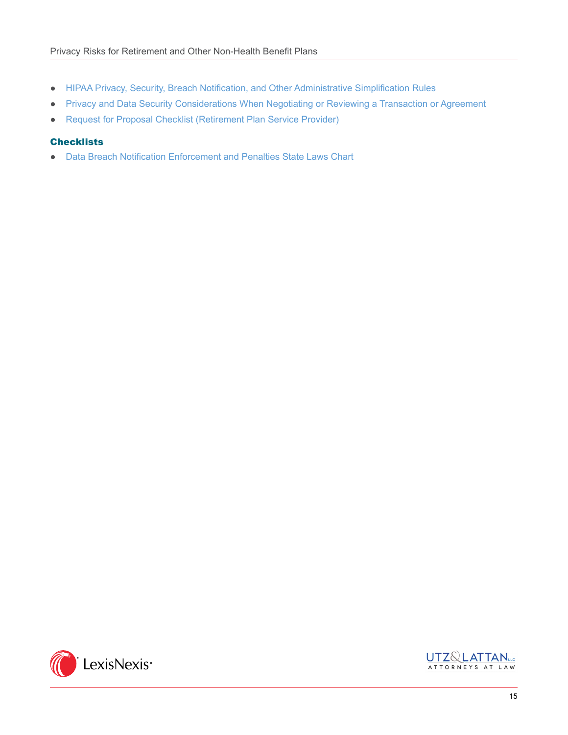- [HIPAA Privacy, Security, Breach Notification, and Other Administrative Simplification Rules](https://advance.lexis.com/open/document/lpadocument/?pdmfid=1000522&crid=69c5cb21-1e70-4c79-b56c-aee51b0c18b7&pddocfullpath=%2Fshared%2Fdocument%2Fanalytical-materials%2Furn%3AcontentItem%3A5PC6-JBC1-JW09-M1DK-00000-00&pddocid=urn%3AcontentItem%3A5PC6-JBC1-JW09-M1DK-00000-00&pdcontentcomponentid=231516&pdteaserkey=sr0&pditab=allpods&ecomp=-vtg&earg=sr0&prid=2d37f082-ed8a-41fe-a7e1-72095994a813)
- [Privacy and Data Security Considerations When Negotiating or Reviewing a Transaction or Agreement](https://advance.lexis.com/open/document/lpadocument/?pdmfid=1000522&crid=b0ac1a9a-3ee2-4249-9893-f379b4e5e36d&pddocfullpath=%2Fshared%2Fdocument%2Fanalytical-materials%2Furn%3AcontentItem%3A5JG5-1CW1-FBV7-B3FP-00000-00&pddocid=urn%3AcontentItem%3A5JG5-1CW1-FBV7-B3FP-00000-00&pdcontentcomponentid=126220&pdteaserkey=sr0&pditab=allpods&ecomp=-vtg&earg=sr0&prid=768e2abb-3c0a-47aa-b3dc-fab87baa7eeb)
- [Request for Proposal Checklist \(Retirement Plan Service Provider\)](https://advance.lexis.com/open/document/lpadocument/?pdmfid=1000522&crid=d514a803-6d07-4e14-972f-3e9edb95e16e&pddocfullpath=%2Fshared%2Fdocument%2Fforms%2Furn%3AcontentItem%3A5PG0-3421-JNCK-22VF-00000-00&pddocid=urn%3AcontentItem%3A5PG0-3421-JNCK-22VF-00000-00&pdcontentcomponentid=231525&pdteaserkey=sr0&pditab=allpods&ecomp=-vtg&earg=sr0&prid=5c7542ab-63aa-4a86-bd0d-d8abad831755)

## **Checklists**

● [Data Breach Notification Enforcement and Penalties State Laws Chart](https://advance.lexis.com/open/document/lpadocument/?pdmfid=1000522&crid=77034e8f-2e6f-4be4-8a99-14d90b38c740&pddocfullpath=%2Fshared%2Fdocument%2Fanalytical-materials%2Furn%3AcontentItem%3A5RVC-NRV1-F2F4-G1Y5-00000-00&pddocid=urn%3AcontentItem%3A5RVC-NRV1-F2F4-G1Y5-00000-00&pdcontentcomponentid=126220&pdteaserkey=sr0&pditab=allpods&ecomp=-vtg&earg=sr0&prid=d9a5c0ea-e4f7-43c7-9cbe-75f87177e8ff)